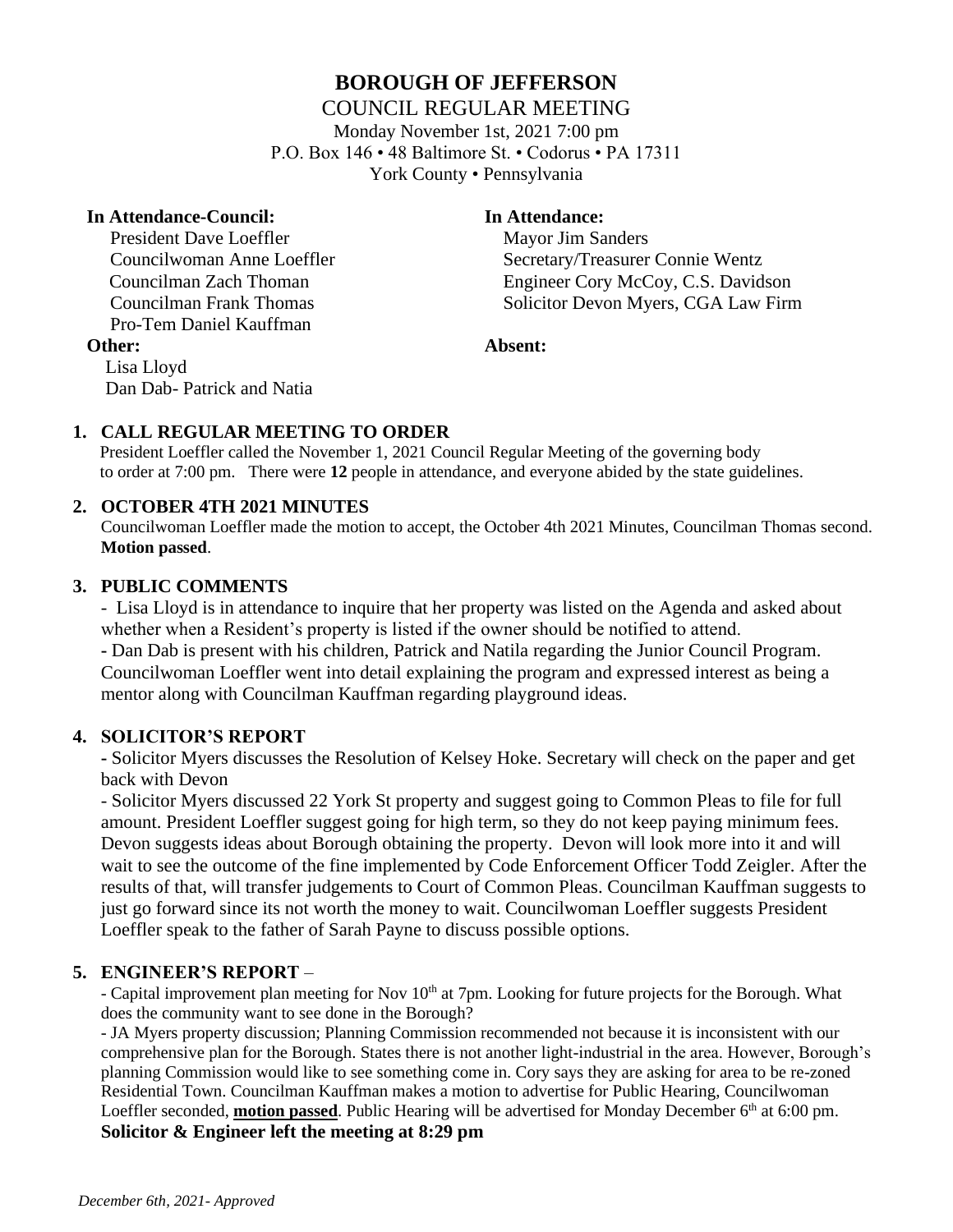## **BOROUGH OF JEFFERSON**

### COUNCIL REGULAR MEETING

Monday November 1st, 2021 7:00 pm P.O. Box 146 • 48 Baltimore St. • Codorus • PA 17311 York County • Pennsylvania

#### **In Attendance-Council: In Attendance:**

Lisa Lloyd

President Dave Loeffler Mayor Jim Sanders Pro-Tem Daniel Kauffman

Dan Dab- Patrick and Natia

Councilwoman Anne Loeffler Secretary/Treasurer Connie Wentz Councilman Zach Thoman Engineer Cory McCoy, C.S. Davidson Councilman Frank Thomas Solicitor Devon Myers, CGA Law Firm

#### **Other: Absent:**

# **1. CALL REGULAR MEETING TO ORDER**

 President Loeffler called the November 1, 2021 Council Regular Meeting of the governing body to order at 7:00 pm. There were **12** people in attendance, and everyone abided by the state guidelines.

### **2. OCTOBER 4TH 2021 MINUTES**

Councilwoman Loeffler made the motion to accept, the October 4th 2021 Minutes, Councilman Thomas second. **Motion passed**.

### **3. PUBLIC COMMENTS**

- Lisa Lloyd is in attendance to inquire that her property was listed on the Agenda and asked about whether when a Resident's property is listed if the owner should be notified to attend.

**-** Dan Dab is present with his children, Patrick and Natila regarding the Junior Council Program. Councilwoman Loeffler went into detail explaining the program and expressed interest as being a mentor along with Councilman Kauffman regarding playground ideas.

### **4. SOLICITOR'S REPORT**

**-** Solicitor Myers discusses the Resolution of Kelsey Hoke. Secretary will check on the paper and get back with Devon

- Solicitor Myers discussed 22 York St property and suggest going to Common Pleas to file for full amount. President Loeffler suggest going for high term, so they do not keep paying minimum fees. Devon suggests ideas about Borough obtaining the property. Devon will look more into it and will wait to see the outcome of the fine implemented by Code Enforcement Officer Todd Zeigler. After the results of that, will transfer judgements to Court of Common Pleas. Councilman Kauffman suggests to just go forward since its not worth the money to wait. Councilwoman Loeffler suggests President Loeffler speak to the father of Sarah Payne to discuss possible options.

### **5. ENGINEER'S REPORT** –

- Capital improvement plan meeting for Nov 10<sup>th</sup> at 7pm. Looking for future projects for the Borough. What does the community want to see done in the Borough?

- JA Myers property discussion; Planning Commission recommended not because it is inconsistent with our comprehensive plan for the Borough. States there is not another light-industrial in the area. However, Borough's planning Commission would like to see something come in. Cory says they are asking for area to be re-zoned Residential Town. Councilman Kauffman makes a motion to advertise for Public Hearing, Councilwoman Loeffler seconded, **motion passed**. Public Hearing will be advertised for Monday December 6<sup>th</sup> at 6:00 pm. **Solicitor & Engineer left the meeting at 8:29 pm**